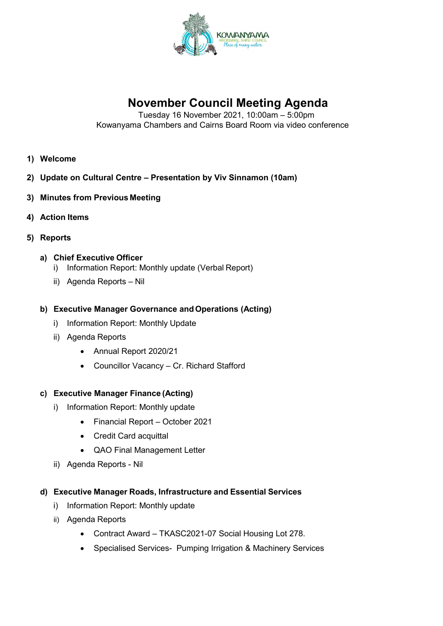

# **November Council Meeting Agenda**

Tuesday 16 November 2021, 10:00am – 5:00pm Kowanyama Chambers and Cairns Board Room via video conference

- **1) Welcome**
- **2) Update on Cultural Centre – Presentation by Viv Sinnamon (10am)**
- **3) Minutes from Previous Meeting**
- **4) Action Items**
- **5) Reports**
	- **a) Chief Executive Officer**
		- i) Information Report: Monthly update (Verbal Report)
		- ii) Agenda Reports Nil
	- **b) Executive Manager Governance andOperations (Acting)**
		- i) Information Report: Monthly Update
		- ii) Agenda Reports
			- Annual Report 2020/21
			- Councillor Vacancy Cr. Richard Stafford

#### **c) Executive Manager Finance (Acting)**

- i) Information Report: Monthly update
	- Financial Report October 2021
	- Credit Card acquittal
	- QAO Final Management Letter
- ii) Agenda Reports Nil

#### **d) Executive Manager Roads, Infrastructure and Essential Services**

- i) Information Report: Monthly update
- ii) Agenda Reports
	- Contract Award TKASC2021-07 Social Housing Lot 278.
	- Specialised Services- Pumping Irrigation & Machinery Services